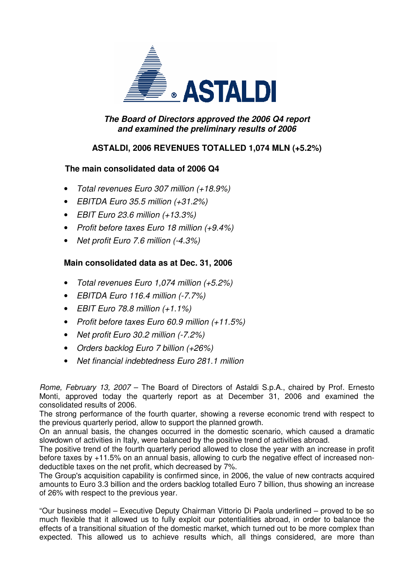

## **The Board of Directors approved the 2006 Q4 report and examined the preliminary results of 2006**

# **ASTALDI, 2006 REVENUES TOTALLED 1,074 MLN (+5.2%)**

# **The main consolidated data of 2006 Q4**

- Total revenues Euro 307 million (+18.9%)
- EBITDA Euro 35.5 million (+31.2%)
- EBIT Euro 23.6 million  $(+13.3\%)$
- Profit before taxes Euro 18 million (+9.4%)
- Net profit Euro 7.6 million (-4.3%)

# **Main consolidated data as at Dec. 31, 2006**

- Total revenues Euro 1,074 million (+5.2%)
- EBITDA Euro 116.4 million (-7.7%)
- EBIT Euro 78.8 million  $(+1.1\%)$
- Profit before taxes Euro 60.9 million (+11.5%)
- Net profit Euro 30.2 million (-7.2%)
- Orders backlog Euro 7 billion (+26%)
- Net financial indebtedness Euro 281.1 million

Rome, February 13, 2007 – The Board of Directors of Astaldi S.p.A., chaired by Prof. Ernesto Monti, approved today the quarterly report as at December 31, 2006 and examined the consolidated results of 2006.

The strong performance of the fourth quarter, showing a reverse economic trend with respect to the previous quarterly period, allow to support the planned growth.

On an annual basis, the changes occurred in the domestic scenario, which caused a dramatic slowdown of activities in Italy, were balanced by the positive trend of activities abroad.

The positive trend of the fourth quarterly period allowed to close the year with an increase in profit before taxes by +11.5% on an annual basis, allowing to curb the negative effect of increased nondeductible taxes on the net profit, which decreased by 7%.

The Group's acquisition capability is confirmed since, in 2006, the value of new contracts acquired amounts to Euro 3.3 billion and the orders backlog totalled Euro 7 billion, thus showing an increase of 26% with respect to the previous year.

"Our business model – Executive Deputy Chairman Vittorio Di Paola underlined – proved to be so much flexible that it allowed us to fully exploit our potentialities abroad, in order to balance the effects of a transitional situation of the domestic market, which turned out to be more complex than expected. This allowed us to achieve results which, all things considered, are more than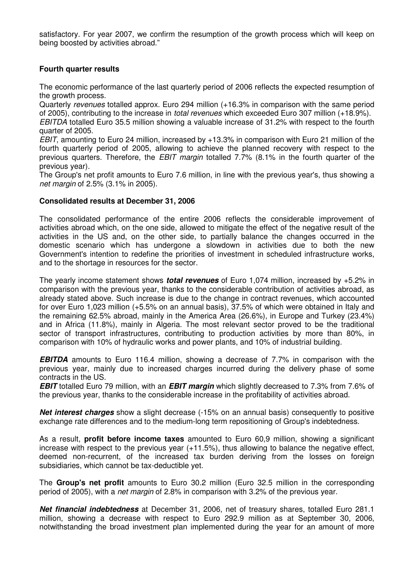satisfactory. For year 2007, we confirm the resumption of the growth process which will keep on being boosted by activities abroad."

## **Fourth quarter results**

The economic performance of the last quarterly period of 2006 reflects the expected resumption of the growth process.

Quarterly revenues totalled approx. Euro 294 million (+16.3% in comparison with the same period of 2005), contributing to the increase in total revenues which exceeded Euro 307 million (+18.9%).

EBITDA totalled Euro 35.5 million showing a valuable increase of 31.2% with respect to the fourth quarter of 2005.

EBIT, amounting to Euro 24 million, increased by +13.3% in comparison with Euro 21 million of the fourth quarterly period of 2005, allowing to achieve the planned recovery with respect to the previous quarters. Therefore, the EBIT margin totalled 7.7% (8.1% in the fourth quarter of the previous year).

The Group's net profit amounts to Euro 7.6 million, in line with the previous year's, thus showing a net margin of 2.5% (3.1% in 2005).

#### **Consolidated results at December 31, 2006**

The consolidated performance of the entire 2006 reflects the considerable improvement of activities abroad which, on the one side, allowed to mitigate the effect of the negative result of the activities in the US and, on the other side, to partially balance the changes occurred in the domestic scenario which has undergone a slowdown in activities due to both the new Government's intention to redefine the priorities of investment in scheduled infrastructure works, and to the shortage in resources for the sector.

The yearly income statement shows **total revenues** of Euro 1,074 million, increased by +5.2% in comparison with the previous year, thanks to the considerable contribution of activities abroad, as already stated above. Such increase is due to the change in contract revenues, which accounted for over Euro 1,023 million (+5.5% on an annual basis), 37.5% of which were obtained in Italy and the remaining 62.5% abroad, mainly in the America Area (26.6%), in Europe and Turkey (23.4%) and in Africa (11.8%), mainly in Algeria. The most relevant sector proved to be the traditional sector of transport infrastructures, contributing to production activities by more than 80%, in comparison with 10% of hydraulic works and power plants, and 10% of industrial building.

**EBITDA** amounts to Euro 116.4 million, showing a decrease of 7.7% in comparison with the previous year, mainly due to increased charges incurred during the delivery phase of some contracts in the US.

**EBIT** totalled Euro 79 million, with an **EBIT margin** which slightly decreased to 7.3% from 7.6% of the previous year, thanks to the considerable increase in the profitability of activities abroad.

**Net interest charges** show a slight decrease (-15% on an annual basis) consequently to positive exchange rate differences and to the medium-long term repositioning of Group's indebtedness.

As a result, **profit before income taxes** amounted to Euro 60,9 million, showing a significant increase with respect to the previous year (+11.5%), thus allowing to balance the negative effect, deemed non-recurrent, of the increased tax burden deriving from the losses on foreign subsidiaries, which cannot be tax-deductible yet.

The **Group's net profit** amounts to Euro 30.2 million (Euro 32.5 million in the corresponding period of 2005), with a net margin of 2.8% in comparison with 3.2% of the previous year.

**Net financial indebtedness** at December 31, 2006, net of treasury shares, totalled Euro 281.1 million, showing a decrease with respect to Euro 292.9 million as at September 30, 2006, notwithstanding the broad investment plan implemented during the year for an amount of more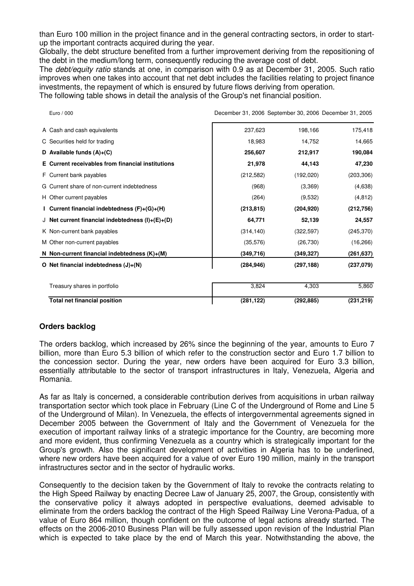than Euro 100 million in the project finance and in the general contracting sectors, in order to startup the important contracts acquired during the year.

Globally, the debt structure benefited from a further improvement deriving from the repositioning of the debt in the medium/long term, consequently reducing the average cost of debt.

The *debt/equity ratio* stands at one, in comparison with 0.9 as at December 31, 2005. Such ratio improves when one takes into account that net debt includes the facilities relating to project finance investments, the repayment of which is ensured by future flows deriving from operation.

The following table shows in detail the analysis of the Group's net financial position.

| Euro / 000                                         |            | December 31, 2006 September 30, 2006 December 31, 2005 |            |
|----------------------------------------------------|------------|--------------------------------------------------------|------------|
| A Cash and cash equivalents                        | 237,623    | 198,166                                                | 175,418    |
| C Securities held for trading                      | 18,983     | 14,752                                                 | 14,665     |
| D Available funds $(A)+(C)$                        | 256,607    | 212,917                                                | 190,084    |
| E Current receivables from financial institutions  | 21,978     | 44,143                                                 | 47,230     |
| F Current bank payables                            | (212, 582) | (192,020)                                              | (203, 306) |
| G Current share of non-current indebtedness        | (968)      | (3,369)                                                | (4,638)    |
| H Other current payables                           | (264)      | (9,532)                                                | (4, 812)   |
| I Current financial indebtedness (F)+(G)+(H)       | (213, 815) | (204, 920)                                             | (212, 756) |
| J Net current financial indebtedness $(I)+(E)+(D)$ | 64,771     | 52,139                                                 | 24,557     |
| K Non-current bank payables                        | (314, 140) | (322, 597)                                             | (245, 370) |
| M Other non-current payables                       | (35, 576)  | (26, 730)                                              | (16, 266)  |
| N Non-current financial indebtedness $(K)+(M)$     | (349,716)  | (349, 327)                                             | (261, 637) |
| O Net financial indebtedness $(J)+(N)$             | (284, 946) | (297, 188)                                             | (237,079)  |
| Treasury shares in portfolio                       | 3,824      | 4,303                                                  | 5,860      |
| <b>Total net financial position</b>                | (281, 122) | (292, 885)                                             | (231, 219) |

### **Orders backlog**

The orders backlog, which increased by 26% since the beginning of the year, amounts to Euro 7 billion, more than Euro 5.3 billion of which refer to the construction sector and Euro 1.7 billion to the concession sector. During the year, new orders have been acquired for Euro 3.3 billion, essentially attributable to the sector of transport infrastructures in Italy, Venezuela, Algeria and Romania.

As far as Italy is concerned, a considerable contribution derives from acquisitions in urban railway transportation sector which took place in February (Line C of the Underground of Rome and Line 5 of the Underground of Milan). In Venezuela, the effects of intergovernmental agreements signed in December 2005 between the Government of Italy and the Government of Venezuela for the execution of important railway links of a strategic importance for the Country, are becoming more and more evident, thus confirming Venezuela as a country which is strategically important for the Group's growth. Also the significant development of activities in Algeria has to be underlined, where new orders have been acquired for a value of over Euro 190 million, mainly in the transport infrastructures sector and in the sector of hydraulic works.

Consequently to the decision taken by the Government of Italy to revoke the contracts relating to the High Speed Railway by enacting Decree Law of January 25, 2007, the Group, consistently with the conservative policy it always adopted in perspective evaluations, deemed advisable to eliminate from the orders backlog the contract of the High Speed Railway Line Verona-Padua, of a value of Euro 864 million, though confident on the outcome of legal actions already started. The effects on the 2006-2010 Business Plan will be fully assessed upon revision of the Industrial Plan which is expected to take place by the end of March this year. Notwithstanding the above, the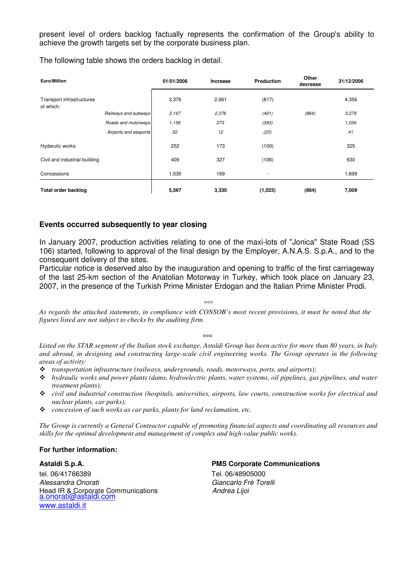present level of orders backlog factually represents the confirmation of the Group's ability to achieve the growth targets set by the corporate business plan.

The following table shows the orders backlog in detail.

| Euro/Million                           |                       | 01/01/2006 | <b>Increase</b> | <b>Production</b>        | Other<br>decrease | 31/12/2006 |
|----------------------------------------|-----------------------|------------|-----------------|--------------------------|-------------------|------------|
| Transport infrastructures<br>of which: |                       | 3,376      | 2,661           | (817)                    |                   | 4,356      |
|                                        | Railways and subways  | 2,167      | 2,376           | (401)                    | (864)             | 3,279      |
|                                        | Roads and motorways   | 1,156      | 273             | (393)                    |                   | 1,036      |
|                                        | Airports and seaports | 52         | 12              | (23)                     |                   | 41         |
| Hydarulic works                        |                       | 252        | 173             | (100)                    |                   | 325        |
| Civil and industrial building          |                       | 409        | 327             | (106)                    |                   | 630        |
| Concessions                            |                       | 1,530      | 169             | $\overline{\phantom{a}}$ |                   | 1,699      |
| <b>Total order backlog</b>             |                       | 5,567      | 3,330           | (1,023)                  | (864)             | 7,009      |

#### **Events occurred subsequently to year closing**

In January 2007, production activities relating to one of the maxi-lots of "Jonica" State Road (SS 106) started, following to approval of the final design by the Employer, A.N.A.S. S.p.A., and to the consequent delivery of the sites.

Particular notice is deserved also by the inauguration and opening to traffic of the first carriageway of the last 25-km section of the Anatolian Motorway in Turkey, which took place on January 23, 2007, in the presence of the Turkish Prime Minister Erdogan and the Italian Prime Minister Prodi.

 $000$ 

*As regards the attached statements, in compliance with CONSOB's most recent provisions, it must be noted that the figures listed are not subject to checks by the auditing firm.* 

 $\sim$ 

*Listed on the STAR segment of the Italian stock exchange, Astaldi Group has been active for more than 80 years, in Italy and abroad, in designing and constructing large-scale civil engineering works. The Group operates in the following areas of activity:* 

- *transportation infrastructure (railways, undergrounds, roads, motorways, ports, and airports);*
- *hydraulic works and power plants (dams, hydroelectric plants, water systems, oil pipelines, gas pipelines, and water treatment plants);*
- *civil and industrial construction (hospitals, universities, airports, law courts, construction works for electrical and nuclear plants, car parks);*
- *concession of such works as car parks, plants for land reclamation, etc.*

*The Group is currently a General Contractor capable of promoting financial aspects and coordinating all resources and skills for the optimal development and management of complex and high-value public works.* 

#### **For further information:**

tel. 06/41766389 Tel. 06/48905000 Alessandra Onorati di Giancarlo Frè Torelli Head IR & Corporate Communications **Andrea Lijoi** a.onorati@astaldi.com www.astaldi.it

## **Astaldi S.p.A. PMS Corporate Communications**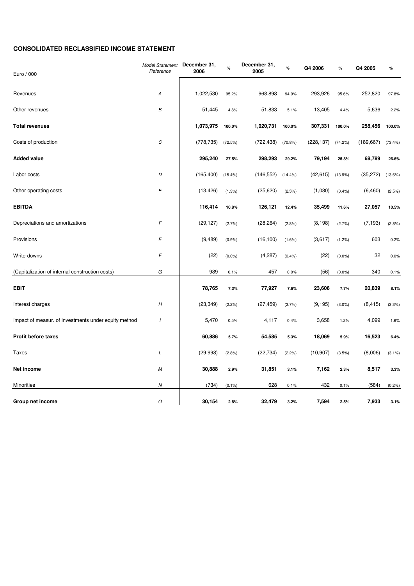#### **CONSOLIDATED RECLASSIFIED INCOME STATEMENT**

| Euro / 000                                           | <b>Model Statement</b><br>Reference | December 31,<br>2006 | $\%$       | December 31,<br>2005 | $\%$       | Q4 2006    | $\%$       | Q4 2005    | $\%$      |
|------------------------------------------------------|-------------------------------------|----------------------|------------|----------------------|------------|------------|------------|------------|-----------|
|                                                      |                                     |                      |            |                      |            |            |            |            |           |
| Revenues                                             | А                                   | 1,022,530            | 95.2%      | 968,898              | 94.9%      | 293,926    | 95.6%      | 252,820    | 97.8%     |
| Other revenues                                       | B                                   | 51,445               | 4.8%       | 51,833               | 5.1%       | 13,405     | 4.4%       | 5,636      | 2.2%      |
| <b>Total revenues</b>                                |                                     | 1,073,975            | 100.0%     | 1,020,731            | 100.0%     | 307,331    | 100.0%     | 258,456    | 100.0%    |
| Costs of production                                  | $\cal C$                            | (778, 735)           | (72.5%)    | (722, 438)           | $(70.8\%)$ | (228, 137) | $(74.2\%)$ | (189, 667) | (73.4%)   |
| <b>Added value</b>                                   |                                     | 295,240              | 27.5%      | 298,293              | 29.2%      | 79,194     | 25.8%      | 68,789     | 26.6%     |
| Labor costs                                          | D                                   | (165, 400)           | $(15.4\%)$ | (146, 552)           | $(14.4\%)$ | (42, 615)  | $(13.9\%)$ | (35, 272)  | (13.6%)   |
| Other operating costs                                | E                                   | (13, 426)            | (1.3%)     | (25,620)             | (2.5%)     | (1,080)    | (0.4% )    | (6, 460)   | (2.5%)    |
| <b>EBITDA</b>                                        |                                     | 116,414              | 10.8%      | 126,121              | 12.4%      | 35,499     | 11.6%      | 27,057     | 10.5%     |
| Depreciations and amortizations                      | F                                   | (29, 127)            | (2.7%)     | (28, 264)            | (2.8%)     | (8, 198)   | (2.7%)     | (7, 193)   | (2.8%)    |
| Provisions                                           | E                                   | (9, 489)             | (0.9%      | (16, 100)            | $(1.6\%)$  | (3,617)    | (1.2%)     | 603        | 0.2%      |
| Write-downs                                          | F                                   | (22)                 | $(0.0\%)$  | (4,287)              | (0.4% )    | (22)       | $(0.0\%)$  | 32         | 0.0%      |
| (Capitalization of internal construction costs)      | G                                   | 989                  | 0.1%       | 457                  | 0.0%       | (56)       | $(0.0\%)$  | 340        | 0.1%      |
| <b>EBIT</b>                                          |                                     | 78,765               | 7.3%       | 77,927               | 7.6%       | 23,606     | 7.7%       | 20,839     | 8.1%      |
| Interest charges                                     | $\boldsymbol{H}$                    | (23, 349)            | (2.2%)     | (27, 459)            | (2.7%)     | (9, 195)   | $(3.0\%)$  | (8, 415)   | (3.3%)    |
| Impact of measur. of investments under equity method | $\overline{I}$                      | 5,470                | 0.5%       | 4,117                | 0.4%       | 3,658      | 1.2%       | 4,099      | 1.6%      |
| <b>Profit before taxes</b>                           |                                     | 60,886               | 5.7%       | 54,585               | 5.3%       | 18,069     | 5.9%       | 16,523     | 6.4%      |
| <b>Taxes</b>                                         | L                                   | (29,998)             | (2.8%)     | (22, 734)            | (2.2%)     | (10, 907)  | (3.5%)     | (8,006)    | $(3.1\%)$ |
| Net income                                           | M                                   | 30,888               | 2.9%       | 31,851               | 3.1%       | 7,162      | 2.3%       | 8,517      | 3.3%      |
| Minorities                                           | Ν                                   | (734)                | $(0.1\%)$  | 628                  | 0.1%       | 432        | 0.1%       | (584)      | (0.2%     |
| Group net income                                     | $\cal O$                            | 30,154               | 2.8%       | 32,479               | 3.2%       | 7,594      | 2.5%       | 7,933      | 3.1%      |